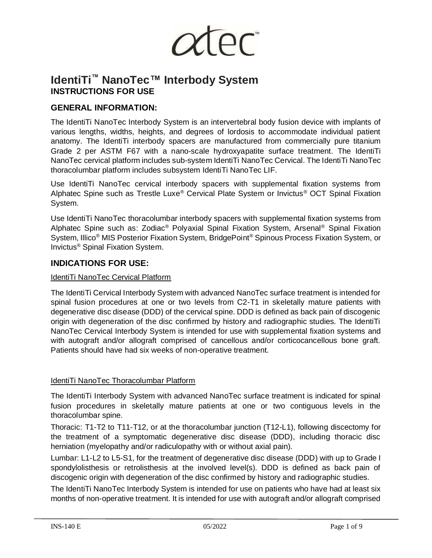

# **IdentiTi™ NanoTec™ Interbody System INSTRUCTIONS FOR USE**

# **GENERAL INFORMATION:**

The IdentiTi NanoTec Interbody System is an intervertebral body fusion device with implants of various lengths, widths, heights, and degrees of lordosis to accommodate individual patient anatomy. The IdentiTi interbody spacers are manufactured from commercially pure titanium Grade 2 per ASTM F67 with a nano-scale hydroxyapatite surface treatment. The IdentiTi NanoTec cervical platform includes sub-system IdentiTi NanoTec Cervical. The IdentiTi NanoTec thoracolumbar platform includes subsystem IdentiTi NanoTec LIF.

Use IdentiTi NanoTec cervical interbody spacers with supplemental fixation systems from Alphatec Spine such as Trestle Luxe® Cervical Plate System or Invictus® OCT Spinal Fixation System.

Use IdentiTi NanoTec thoracolumbar interbody spacers with supplemental fixation systems from Alphatec Spine such as: Zodiac® Polyaxial Spinal Fixation System, Arsenal® Spinal Fixation System, Illico® MIS Posterior Fixation System, BridgePoint® Spinous Process Fixation System, or Invictus® Spinal Fixation System.

# **INDICATIONS FOR USE:**

#### IdentiTi NanoTec Cervical Platform

The IdentiTi Cervical Interbody System with advanced NanoTec surface treatment is intended for spinal fusion procedures at one or two levels from C2-T1 in skeletally mature patients with degenerative disc disease (DDD) of the cervical spine. DDD is defined as back pain of discogenic origin with degeneration of the disc confirmed by history and radiographic studies. The IdentiTi NanoTec Cervical Interbody System is intended for use with supplemental fixation systems and with autograft and/or allograft comprised of cancellous and/or corticocancellous bone graft. Patients should have had six weeks of non-operative treatment.

# IdentiTi NanoTec Thoracolumbar Platform

The IdentiTi Interbody System with advanced NanoTec surface treatment is indicated for spinal fusion procedures in skeletally mature patients at one or two contiguous levels in the thoracolumbar spine.

Thoracic: T1-T2 to T11-T12, or at the thoracolumbar junction (T12-L1), following discectomy for the treatment of a symptomatic degenerative disc disease (DDD), including thoracic disc herniation (myelopathy and/or radiculopathy with or without axial pain).

Lumbar: L1-L2 to L5-S1, for the treatment of degenerative disc disease (DDD) with up to Grade I spondylolisthesis or retrolisthesis at the involved level(s). DDD is defined as back pain of discogenic origin with degeneration of the disc confirmed by history and radiographic studies.

The IdentiTi NanoTec Interbody System is intended for use on patients who have had at least six months of non-operative treatment. It is intended for use with autograft and/or allograft comprised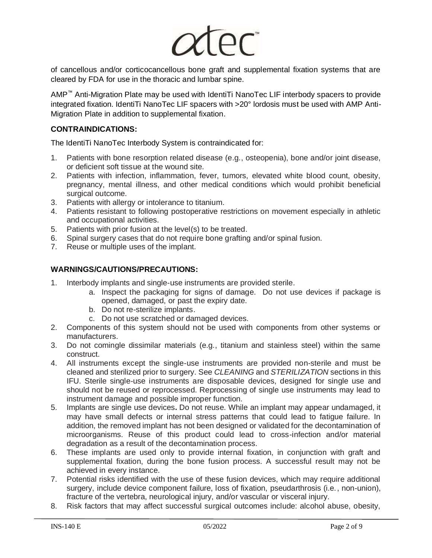

of cancellous and/or corticocancellous bone graft and supplemental fixation systems that are cleared by FDA for use in the thoracic and lumbar spine.

AMP™ Anti-Migration Plate may be used with IdentiTi NanoTec LIF interbody spacers to provide integrated fixation. IdentiTi NanoTec LIF spacers with >20° lordosis must be used with AMP Anti-Migration Plate in addition to supplemental fixation.

# **CONTRAINDICATIONS:**

The IdentiTi NanoTec Interbody System is contraindicated for:

- 1. Patients with bone resorption related disease (e.g., osteopenia), bone and/or joint disease, or deficient soft tissue at the wound site.
- 2. Patients with infection, inflammation, fever, tumors, elevated white blood count, obesity, pregnancy, mental illness, and other medical conditions which would prohibit beneficial surgical outcome.
- 3. Patients with allergy or intolerance to titanium.
- 4. Patients resistant to following postoperative restrictions on movement especially in athletic and occupational activities.
- 5. Patients with prior fusion at the level(s) to be treated.
- 6. Spinal surgery cases that do not require bone grafting and/or spinal fusion.
- 7. Reuse or multiple uses of the implant.

# **WARNINGS/CAUTIONS/PRECAUTIONS:**

- 1. Interbody implants and single-use instruments are provided sterile.
	- a. Inspect the packaging for signs of damage. Do not use devices if package is opened, damaged, or past the expiry date.
	- b. Do not re-sterilize implants.
	- c. Do not use scratched or damaged devices.
- 2. Components of this system should not be used with components from other systems or manufacturers.
- 3. Do not comingle dissimilar materials (e.g., titanium and stainless steel) within the same construct.
- 4. All instruments except the single-use instruments are provided non-sterile and must be cleaned and sterilized prior to surgery. See *CLEANING* and *STERILIZATION* sections in this IFU. Sterile single-use instruments are disposable devices, designed for single use and should not be reused or reprocessed. Reprocessing of single use instruments may lead to instrument damage and possible improper function.
- 5. Implants are single use devices**.** Do not reuse*.* While an implant may appear undamaged, it may have small defects or internal stress patterns that could lead to fatigue failure. In addition, the removed implant has not been designed or validated for the decontamination of microorganisms. Reuse of this product could lead to cross-infection and/or material degradation as a result of the decontamination process.
- 6. These implants are used only to provide internal fixation, in conjunction with graft and supplemental fixation, during the bone fusion process. A successful result may not be achieved in every instance.
- 7. Potential risks identified with the use of these fusion devices, which may require additional surgery, include device component failure, loss of fixation, pseudarthrosis (i.e., non-union), fracture of the vertebra, neurological injury, and/or vascular or visceral injury.
- 8. Risk factors that may affect successful surgical outcomes include: alcohol abuse, obesity,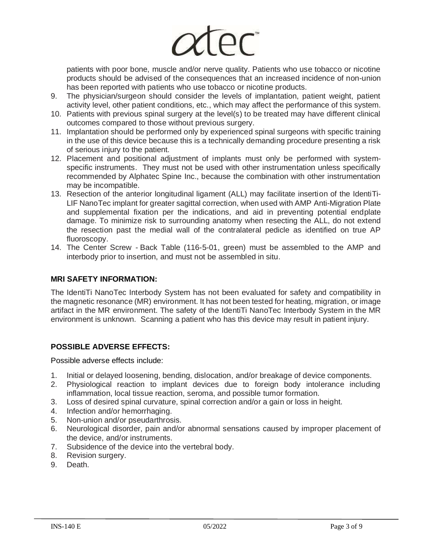

patients with poor bone, muscle and/or nerve quality. Patients who use tobacco or nicotine products should be advised of the consequences that an increased incidence of non-union has been reported with patients who use tobacco or nicotine products.

- 9. The physician/surgeon should consider the levels of implantation, patient weight, patient activity level, other patient conditions, etc., which may affect the performance of this system.
- 10. Patients with previous spinal surgery at the level(s) to be treated may have different clinical outcomes compared to those without previous surgery.
- 11. Implantation should be performed only by experienced spinal surgeons with specific training in the use of this device because this is a technically demanding procedure presenting a risk of serious injury to the patient.
- 12. Placement and positional adjustment of implants must only be performed with systemspecific instruments. They must not be used with other instrumentation unless specifically recommended by Alphatec Spine Inc., because the combination with other instrumentation may be incompatible.
- 13. Resection of the anterior longitudinal ligament (ALL) may facilitate insertion of the IdentiTi-LIF NanoTec implant for greater sagittal correction, when used with AMP Anti-Migration Plate and supplemental fixation per the indications, and aid in preventing potential endplate damage. To minimize risk to surrounding anatomy when resecting the ALL, do not extend the resection past the medial wall of the contralateral pedicle as identified on true AP fluoroscopy.
- 14. The Center Screw Back Table (116-5-01, green) must be assembled to the AMP and interbody prior to insertion, and must not be assembled in situ.

# **MRI SAFETY INFORMATION:**

The IdentiTi NanoTec Interbody System has not been evaluated for safety and compatibility in the magnetic resonance (MR) environment. It has not been tested for heating, migration, or image artifact in the MR environment. The safety of the IdentiTi NanoTec Interbody System in the MR environment is unknown. Scanning a patient who has this device may result in patient injury.

# **POSSIBLE ADVERSE EFFECTS:**

Possible adverse effects include:

- 1. Initial or delayed loosening, bending, dislocation, and/or breakage of device components.
- 2. Physiological reaction to implant devices due to foreign body intolerance including inflammation, local tissue reaction, seroma, and possible tumor formation.
- 3. Loss of desired spinal curvature, spinal correction and/or a gain or loss in height.
- 4. Infection and/or hemorrhaging.
- 5. Non-union and/or pseudarthrosis.
- 6. Neurological disorder, pain and/or abnormal sensations caused by improper placement of the device, and/or instruments.
- 7. Subsidence of the device into the vertebral body.
- 8. Revision surgery.
- 9. Death.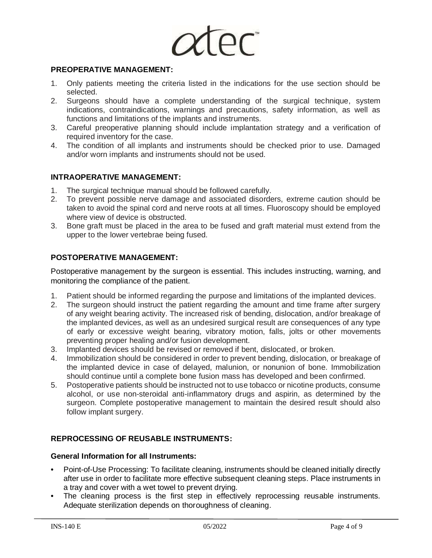

#### **PREOPERATIVE MANAGEMENT:**

- 1. Only patients meeting the criteria listed in the indications for the use section should be selected.
- 2. Surgeons should have a complete understanding of the surgical technique, system indications, contraindications, warnings and precautions, safety information, as well as functions and limitations of the implants and instruments.
- 3. Careful preoperative planning should include implantation strategy and a verification of required inventory for the case.
- 4. The condition of all implants and instruments should be checked prior to use. Damaged and/or worn implants and instruments should not be used.

## **INTRAOPERATIVE MANAGEMENT:**

- 1. The surgical technique manual should be followed carefully.
- 2. To prevent possible nerve damage and associated disorders, extreme caution should be taken to avoid the spinal cord and nerve roots at all times. Fluoroscopy should be employed where view of device is obstructed.
- 3. Bone graft must be placed in the area to be fused and graft material must extend from the upper to the lower vertebrae being fused.

#### **POSTOPERATIVE MANAGEMENT:**

Postoperative management by the surgeon is essential. This includes instructing, warning, and monitoring the compliance of the patient.

- 1. Patient should be informed regarding the purpose and limitations of the implanted devices.
- 2. The surgeon should instruct the patient regarding the amount and time frame after surgery of any weight bearing activity. The increased risk of bending, dislocation, and/or breakage of the implanted devices, as well as an undesired surgical result are consequences of any type of early or excessive weight bearing, vibratory motion, falls, jolts or other movements preventing proper healing and/or fusion development.
- 3. Implanted devices should be revised or removed if bent, dislocated, or broken.
- 4. Immobilization should be considered in order to prevent bending, dislocation, or breakage of the implanted device in case of delayed, malunion, or nonunion of bone. Immobilization should continue until a complete bone fusion mass has developed and been confirmed.
- 5. Postoperative patients should be instructed not to use tobacco or nicotine products, consume alcohol, or use non-steroidal anti-inflammatory drugs and aspirin, as determined by the surgeon. Complete postoperative management to maintain the desired result should also follow implant surgery.

# **REPROCESSING OF REUSABLE INSTRUMENTS:**

#### **General Information for all Instruments:**

- **•** Point-of-Use Processing: To facilitate cleaning, instruments should be cleaned initially directly after use in order to facilitate more effective subsequent cleaning steps. Place instruments in a tray and cover with a wet towel to prevent drying.
- The cleaning process is the first step in effectively reprocessing reusable instruments. Adequate sterilization depends on thoroughness of cleaning.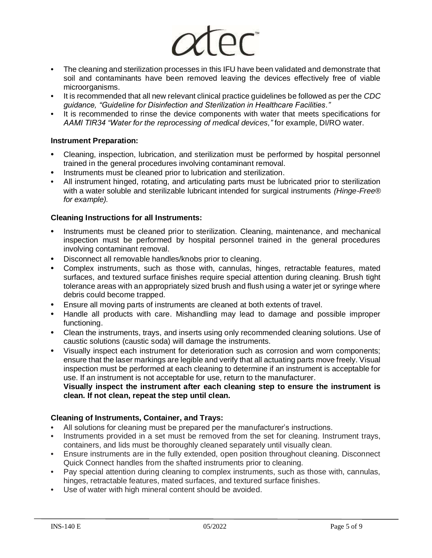

- **•** The cleaning and sterilization processes in this IFU have been validated and demonstrate that soil and contaminants have been removed leaving the devices effectively free of viable microorganisms.
- **•** It is recommended that all new relevant clinical practice guidelines be followed as per the *CDC guidance, "Guideline for Disinfection and Sterilization in Healthcare Facilities."*
- **•** It is recommended to rinse the device components with water that meets specifications for *AAMI TIR34 "Water for the reprocessing of medical devices,"* for example, DI/RO water.

#### **Instrument Preparation:**

- **•** Cleaning, inspection, lubrication, and sterilization must be performed by hospital personnel trained in the general procedures involving contaminant removal.
- **•** Instruments must be cleaned prior to lubrication and sterilization.
- **•** All instrument hinged, rotating, and articulating parts must be lubricated prior to sterilization with a water soluble and sterilizable lubricant intended for surgical instruments *(Hinge-Free® for example).*

#### **Cleaning Instructions for all Instruments:**

- **•** Instruments must be cleaned prior to sterilization. Cleaning, maintenance, and mechanical inspection must be performed by hospital personnel trained in the general procedures involving contaminant removal.
- **•** Disconnect all removable handles/knobs prior to cleaning.
- **•** Complex instruments, such as those with, cannulas, hinges, retractable features, mated surfaces, and textured surface finishes require special attention during cleaning. Brush tight tolerance areas with an appropriately sized brush and flush using a water jet or syringe where debris could become trapped.
- **•** Ensure all moving parts of instruments are cleaned at both extents of travel.
- **•** Handle all products with care. Mishandling may lead to damage and possible improper functioning.
- **•** Clean the instruments, trays, and inserts using only recommended cleaning solutions. Use of caustic solutions (caustic soda) will damage the instruments.
- **•** Visually inspect each instrument for deterioration such as corrosion and worn components; ensure that the laser markings are legible and verify that all actuating parts move freely. Visual inspection must be performed at each cleaning to determine if an instrument is acceptable for use. If an instrument is not acceptable for use, return to the manufacturer.

#### **Visually inspect the instrument after each cleaning step to ensure the instrument is clean. If not clean, repeat the step until clean.**

# **Cleaning of Instruments, Container, and Trays:**

- **•** All solutions for cleaning must be prepared per the manufacturer's instructions.
- **•** Instruments provided in a set must be removed from the set for cleaning. Instrument trays, containers, and lids must be thoroughly cleaned separately until visually clean.
- **•** Ensure instruments are in the fully extended, open position throughout cleaning. Disconnect Quick Connect handles from the shafted instruments prior to cleaning.
- **•** Pay special attention during cleaning to complex instruments, such as those with, cannulas, hinges, retractable features, mated surfaces, and textured surface finishes.
- **•** Use of water with high mineral content should be avoided.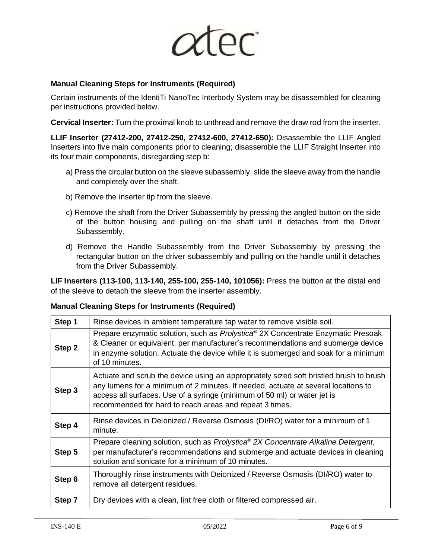

## **Manual Cleaning Steps for Instruments (Required)**

Certain instruments of the IdentiTi NanoTec Interbody System may be disassembled for cleaning per instructions provided below.

**Cervical Inserter:** Turn the proximal knob to unthread and remove the draw rod from the inserter.

**LLIF Inserter (27412-200, 27412-250, 27412-600, 27412-650):** Disassemble the LLIF Angled Inserters into five main components prior to cleaning; disassemble the LLIF Straight Inserter into its four main components, disregarding step b:

- a) Press the circular button on the sleeve subassembly, slide the sleeve away from the handle and completely over the shaft.
- b) Remove the inserter tip from the sleeve.
- c) Remove the shaft from the Driver Subassembly by pressing the angled button on the side of the button housing and pulling on the shaft until it detaches from the Driver Subassembly.
- d) Remove the Handle Subassembly from the Driver Subassembly by pressing the rectangular button on the driver subassembly and pulling on the handle until it detaches from the Driver Subassembly.

**LIF Inserters (113-100, 113-140, 255-100, 255-140, 101056):** Press the button at the distal end of the sleeve to detach the sleeve from the inserter assembly.

#### **Manual Cleaning Steps for Instruments (Required)**

| Step 1 | Rinse devices in ambient temperature tap water to remove visible soil.                                                                                                                                                                                                                                             |  |  |  |  |  |
|--------|--------------------------------------------------------------------------------------------------------------------------------------------------------------------------------------------------------------------------------------------------------------------------------------------------------------------|--|--|--|--|--|
| Step 2 | Prepare enzymatic solution, such as <i>Prolystica®</i> 2X Concentrate Enzymatic Presoak<br>& Cleaner or equivalent, per manufacturer's recommendations and submerge device<br>in enzyme solution. Actuate the device while it is submerged and soak for a minimum<br>of 10 minutes.                                |  |  |  |  |  |
| Step 3 | Actuate and scrub the device using an appropriately sized soft bristled brush to brush<br>any lumens for a minimum of 2 minutes. If needed, actuate at several locations to<br>access all surfaces. Use of a syringe (minimum of 50 ml) or water jet is<br>recommended for hard to reach areas and repeat 3 times. |  |  |  |  |  |
| Step 4 | Rinse devices in Deionized / Reverse Osmosis (DI/RO) water for a minimum of 1<br>minute.                                                                                                                                                                                                                           |  |  |  |  |  |
| Step 5 | Prepare cleaning solution, such as Prolystica® 2X Concentrate Alkaline Detergent,<br>per manufacturer's recommendations and submerge and actuate devices in cleaning<br>solution and sonicate for a minimum of 10 minutes.                                                                                         |  |  |  |  |  |
| Step 6 | Thoroughly rinse instruments with Deionized / Reverse Osmosis (DI/RO) water to<br>remove all detergent residues.                                                                                                                                                                                                   |  |  |  |  |  |
| Step 7 | Dry devices with a clean, lint free cloth or filtered compressed air.                                                                                                                                                                                                                                              |  |  |  |  |  |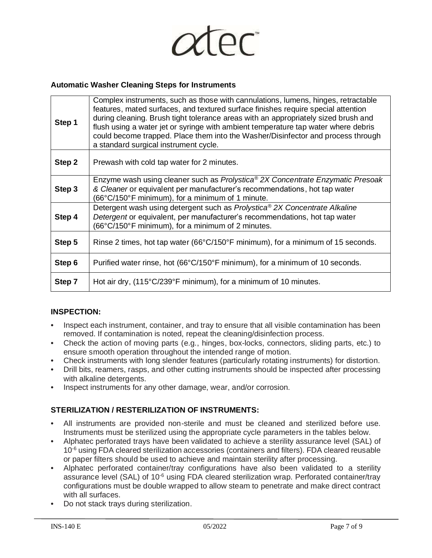

#### **Automatic Washer Cleaning Steps for Instruments**

| Step 1 | Complex instruments, such as those with cannulations, lumens, hinges, retractable<br>features, mated surfaces, and textured surface finishes require special attention<br>during cleaning. Brush tight tolerance areas with an appropriately sized brush and<br>flush using a water jet or syringe with ambient temperature tap water where debris<br>could become trapped. Place them into the Washer/Disinfector and process through<br>a standard surgical instrument cycle. |  |  |  |  |  |
|--------|---------------------------------------------------------------------------------------------------------------------------------------------------------------------------------------------------------------------------------------------------------------------------------------------------------------------------------------------------------------------------------------------------------------------------------------------------------------------------------|--|--|--|--|--|
| Step 2 | Prewash with cold tap water for 2 minutes.                                                                                                                                                                                                                                                                                                                                                                                                                                      |  |  |  |  |  |
| Step 3 | Enzyme wash using cleaner such as Prolystica <sup>®</sup> 2X Concentrate Enzymatic Presoak<br>& Cleaner or equivalent per manufacturer's recommendations, hot tap water<br>(66°C/150°F minimum), for a minimum of 1 minute.                                                                                                                                                                                                                                                     |  |  |  |  |  |
| Step 4 | Detergent wash using detergent such as Prolystica <sup>®</sup> 2X Concentrate Alkaline<br>Detergent or equivalent, per manufacturer's recommendations, hot tap water<br>(66°C/150°F minimum), for a minimum of 2 minutes.                                                                                                                                                                                                                                                       |  |  |  |  |  |
| Step 5 | Rinse 2 times, hot tap water (66°C/150°F minimum), for a minimum of 15 seconds.                                                                                                                                                                                                                                                                                                                                                                                                 |  |  |  |  |  |
| Step 6 | Purified water rinse, hot (66°C/150°F minimum), for a minimum of 10 seconds.                                                                                                                                                                                                                                                                                                                                                                                                    |  |  |  |  |  |
| Step 7 | Hot air dry, (115°C/239°F minimum), for a minimum of 10 minutes.                                                                                                                                                                                                                                                                                                                                                                                                                |  |  |  |  |  |

#### **INSPECTION:**

- **•** Inspect each instrument, container, and tray to ensure that all visible contamination has been removed. If contamination is noted, repeat the cleaning/disinfection process.
- **•** Check the action of moving parts (e.g., hinges, box-locks, connectors, sliding parts, etc.) to ensure smooth operation throughout the intended range of motion.
- **•** Check instruments with long slender features (particularly rotating instruments) for distortion.
- **•** Drill bits, reamers, rasps, and other cutting instruments should be inspected after processing with alkaline detergents.
- **•** Inspect instruments for any other damage, wear, and/or corrosion.

# **STERILIZATION / RESTERILIZATION OF INSTRUMENTS:**

- **•** All instruments are provided non-sterile and must be cleaned and sterilized before use. Instruments must be sterilized using the appropriate cycle parameters in the tables below.
- **•** Alphatec perforated trays have been validated to achieve a sterility assurance level (SAL) of  $10<sup>-6</sup>$  using FDA cleared sterilization accessories (containers and filters). FDA cleared reusable or paper filters should be used to achieve and maintain sterility after processing.
- **•** Alphatec perforated container/tray configurations have also been validated to a sterility assurance level (SAL) of 10<sup>-6</sup> using FDA cleared sterilization wrap. Perforated container/tray configurations must be double wrapped to allow steam to penetrate and make direct contract with all surfaces.
- **•** Do not stack trays during sterilization.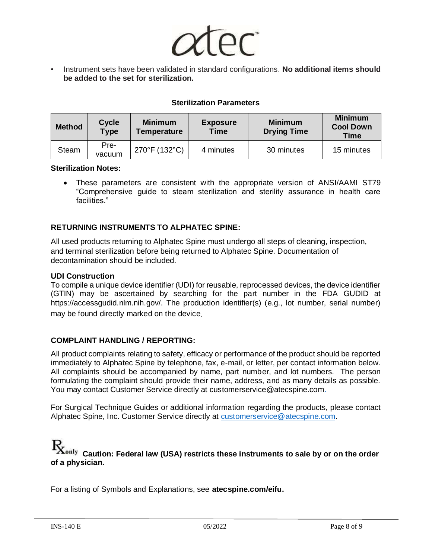

**•** Instrument sets have been validated in standard configurations. **No additional items should be added to the set for sterilization.**

## **Sterilization Parameters**

| <b>Method</b> | <b>Cycle</b><br><b>Type</b> | <b>Minimum</b><br>Temperature | <b>Exposure</b><br><b>Time</b> | <b>Minimum</b><br><b>Drying Time</b> | <b>Minimum</b><br><b>Cool Down</b><br>Time |
|---------------|-----------------------------|-------------------------------|--------------------------------|--------------------------------------|--------------------------------------------|
| <b>Steam</b>  | Pre-<br>vacuum              | 270°F (132°C)                 | 4 minutes                      | 30 minutes                           | 15 minutes                                 |

#### **Sterilization Notes:**

• These parameters are consistent with the appropriate version of ANSI/AAMI ST79 "Comprehensive guide to steam sterilization and sterility assurance in health care facilities."

#### **RETURNING INSTRUMENTS TO ALPHATEC SPINE:**

All used products returning to Alphatec Spine must undergo all steps of cleaning, inspection, and terminal sterilization before being returned to Alphatec Spine. Documentation of decontamination should be included.

#### **UDI Construction**

To compile a unique device identifier (UDI) for reusable, reprocessed devices, the device identifier (GTIN) may be ascertained by searching for the part number in the FDA GUDID at https://accessgudid.nlm.nih.gov/. The production identifier(s) (e.g., lot number, serial number) may be found directly marked on the device.

#### **COMPLAINT HANDLING / REPORTING:**

All product complaints relating to safety, efficacy or performance of the product should be reported immediately to Alphatec Spine by telephone, fax, e-mail, or letter, per contact information below. All complaints should be accompanied by name, part number, and lot numbers. The person formulating the complaint should provide their name, address, and as many details as possible. You may contact Customer Service directly at customerservice@atecspine.com.

For Surgical Technique Guides or additional information regarding the products, please contact Alphatec Spine, Inc. Customer Service directly at [customerservice@atecspine.com.](mailto:customerservice@atecspine.com)

# $\emph{\textbf{R}}_{\text{only}}$   $_{\text{Caution:}}$  Federal law (USA) restricts these instruments to sale by or on the order **of a physician.**

For a listing of Symbols and Explanations, see **atecspine.com/eifu.**